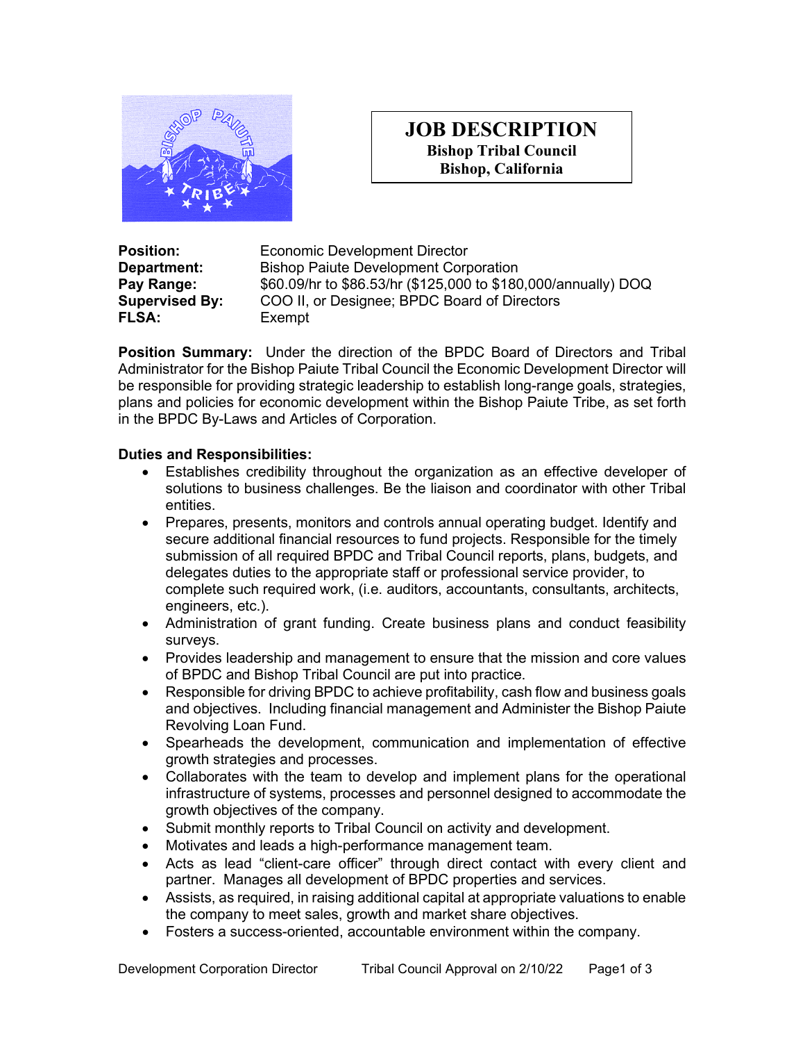

## **JOB DESCRIPTION Bishop Tribal Council Bishop, California**

**FLSA:** Exempt

**Position: Economic Development Director**<br> **Department:** Bishop Paiute Development Cord **Bishop Paiute Development Corporation Pay Range:** \$60.09/hr to \$86.53/hr (\$125,000 to \$180,000/annually) DOQ **Supervised By:** COO II, or Designee; BPDC Board of Directors

**Position Summary:** Under the direction of the BPDC Board of Directors and Tribal Administrator for the Bishop Paiute Tribal Council the Economic Development Director will be responsible for providing strategic leadership to establish long-range goals, strategies, plans and policies for economic development within the Bishop Paiute Tribe, as set forth in the BPDC By-Laws and Articles of Corporation.

## **Duties and Responsibilities:**

- Establishes credibility throughout the organization as an effective developer of solutions to business challenges. Be the liaison and coordinator with other Tribal entities.
- Prepares, presents, monitors and controls annual operating budget. Identify and secure additional financial resources to fund projects. Responsible for the timely submission of all required BPDC and Tribal Council reports, plans, budgets, and delegates duties to the appropriate staff or professional service provider, to complete such required work, (i.e. auditors, accountants, consultants, architects, engineers, etc.).
- Administration of grant funding. Create business plans and conduct feasibility surveys.
- Provides leadership and management to ensure that the mission and core values of BPDC and Bishop Tribal Council are put into practice.
- Responsible for driving BPDC to achieve profitability, cash flow and business goals and objectives. Including financial management and Administer the Bishop Paiute Revolving Loan Fund.
- Spearheads the development, communication and implementation of effective growth strategies and processes.
- Collaborates with the team to develop and implement plans for the operational infrastructure of systems, processes and personnel designed to accommodate the growth objectives of the company.
- Submit monthly reports to Tribal Council on activity and development.
- Motivates and leads a high-performance management team.
- Acts as lead "client-care officer" through direct contact with every client and partner. Manages all development of BPDC properties and services.
- Assists, as required, in raising additional capital at appropriate valuations to enable the company to meet sales, growth and market share objectives.
- Fosters a success-oriented, accountable environment within the company.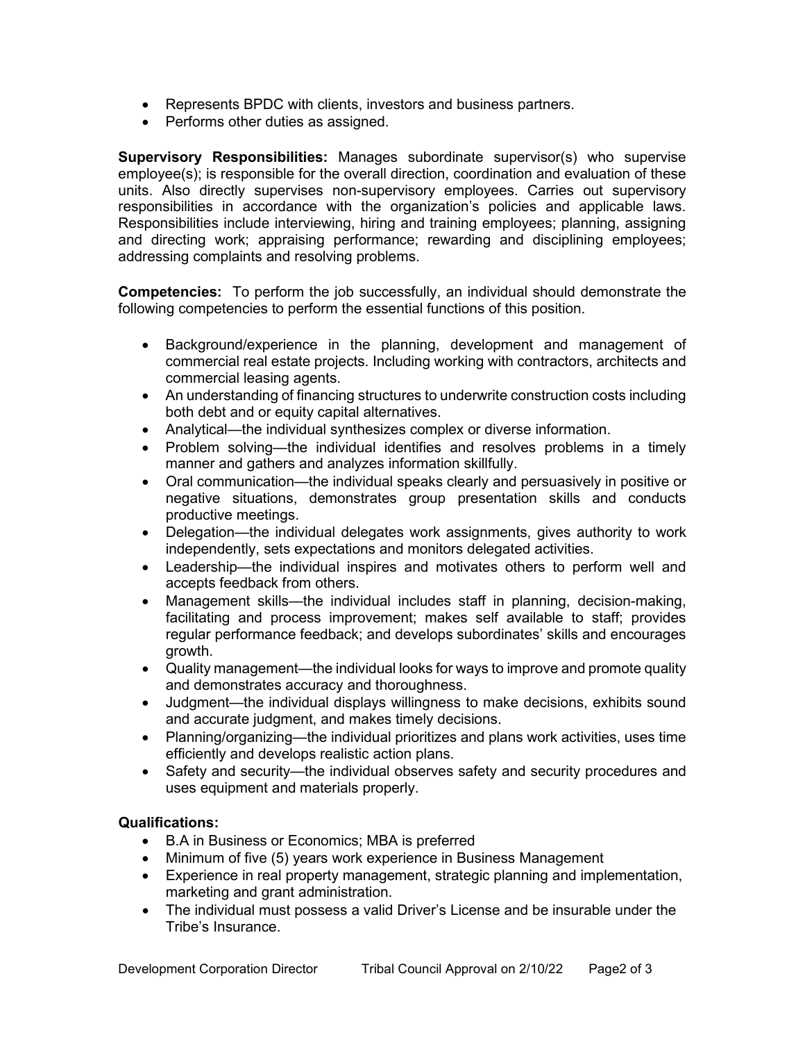- Represents BPDC with clients, investors and business partners.
- Performs other duties as assigned.

**Supervisory Responsibilities:** Manages subordinate supervisor(s) who supervise employee(s); is responsible for the overall direction, coordination and evaluation of these units. Also directly supervises non-supervisory employees. Carries out supervisory responsibilities in accordance with the organization's policies and applicable laws. Responsibilities include interviewing, hiring and training employees; planning, assigning and directing work; appraising performance; rewarding and disciplining employees; addressing complaints and resolving problems.

**Competencies:** To perform the job successfully, an individual should demonstrate the following competencies to perform the essential functions of this position.

- Background/experience in the planning, development and management of commercial real estate projects. Including working with contractors, architects and commercial leasing agents.
- An understanding of financing structures to underwrite construction costs including both debt and or equity capital alternatives.
- Analytical—the individual synthesizes complex or diverse information.
- Problem solving—the individual identifies and resolves problems in a timely manner and gathers and analyzes information skillfully.
- Oral communication—the individual speaks clearly and persuasively in positive or negative situations, demonstrates group presentation skills and conducts productive meetings.
- Delegation—the individual delegates work assignments, gives authority to work independently, sets expectations and monitors delegated activities.
- Leadership—the individual inspires and motivates others to perform well and accepts feedback from others.
- Management skills—the individual includes staff in planning, decision-making, facilitating and process improvement; makes self available to staff; provides regular performance feedback; and develops subordinates' skills and encourages growth.
- Quality management—the individual looks for ways to improve and promote quality and demonstrates accuracy and thoroughness.
- Judgment—the individual displays willingness to make decisions, exhibits sound and accurate judgment, and makes timely decisions.
- Planning/organizing—the individual prioritizes and plans work activities, uses time efficiently and develops realistic action plans.
- Safety and security—the individual observes safety and security procedures and uses equipment and materials properly.

## **Qualifications:**

- B.A in Business or Economics; MBA is preferred
- Minimum of five (5) years work experience in Business Management
- Experience in real property management, strategic planning and implementation, marketing and grant administration.
- The individual must possess a valid Driver's License and be insurable under the Tribe's Insurance.